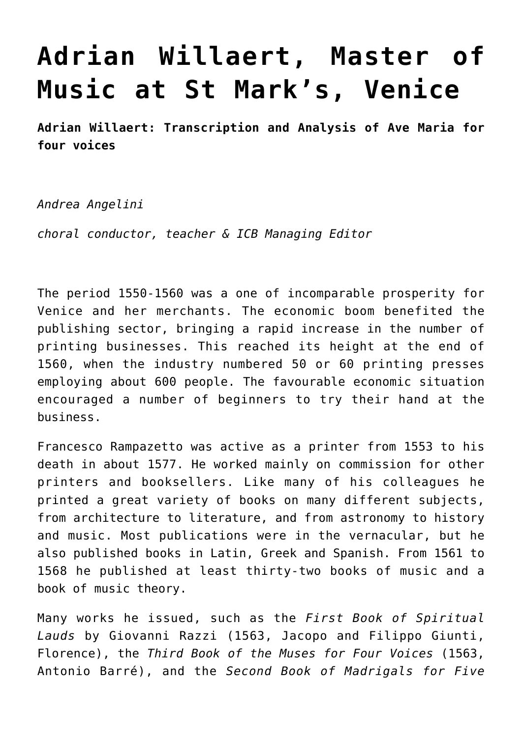## **[Adrian Willaert, Master of](http://icb.ifcm.net/ru_RU/adrian-willaert-st-marks-venice/) [Music at St Mark's, Venice](http://icb.ifcm.net/ru_RU/adrian-willaert-st-marks-venice/)**

**Adrian Willaert: Transcription and Analysis of Ave Maria for four voices**

*Andrea Angelini*

*choral conductor, teacher & ICB Managing Editor*

The period 1550-1560 was a one of incomparable prosperity for Venice and her merchants. The economic boom benefited the publishing sector, bringing a rapid increase in the number of printing businesses. This reached its height at the end of 1560, when the industry numbered 50 or 60 printing presses employing about 600 people. The favourable economic situation encouraged a number of beginners to try their hand at the business.

Francesco Rampazetto was active as a printer from 1553 to his death in about 1577. He worked mainly on commission for other printers and booksellers. Like many of his colleagues he printed a great variety of books on many different subjects, from architecture to literature, and from astronomy to history and music. Most publications were in the vernacular, but he also published books in Latin, Greek and Spanish. From 1561 to 1568 he published at least thirty-two books of music and a book of music theory.

Many works he issued, such as the *First Book of Spiritual Lauds* by Giovanni Razzi (1563, Jacopo and Filippo Giunti, Florence), the *Third Book of the Muses for Four Voices* (1563, Antonio Barré), and the *Second Book of Madrigals for Five*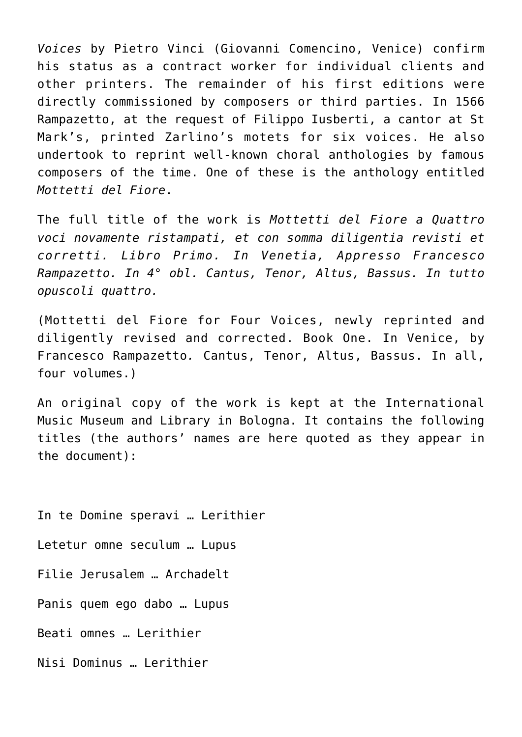*Voices* by Pietro Vinci (Giovanni Comencino, Venice) confirm his status as a contract worker for individual clients and other printers. The remainder of his first editions were directly commissioned by composers or third parties. In 1566 Rampazetto, at the request of Filippo Iusberti, a cantor at St Mark's, printed Zarlino's motets for six voices. He also undertook to reprint well-known choral anthologies by famous composers of the time. One of these is the anthology entitled *Mottetti del Fiore*.

The full title of the work is *Mottetti del Fiore a Quattro voci novamente ristampati, et con somma diligentia revisti et corretti. Libro Primo. In Venetia, Appresso Francesco Rampazetto. In 4° obl. Cantus, Tenor, Altus, Bassus. In tutto opuscoli quattro.*

(Mottetti del Fiore for Four Voices, newly reprinted and diligently revised and corrected. Book One. In Venice, by Francesco Rampazetto*.* Cantus, Tenor, Altus, Bassus. In all, four volumes.)

An original copy of the work is kept at the International Music Museum and Library in Bologna. It contains the following titles (the authors' names are here quoted as they appear in the document):

In te Domine speravi … Lerithier Letetur omne seculum … Lupus Filie Jerusalem … Archadelt Panis quem ego dabo … Lupus Beati omnes … Lerithier Nisi Dominus … Lerithier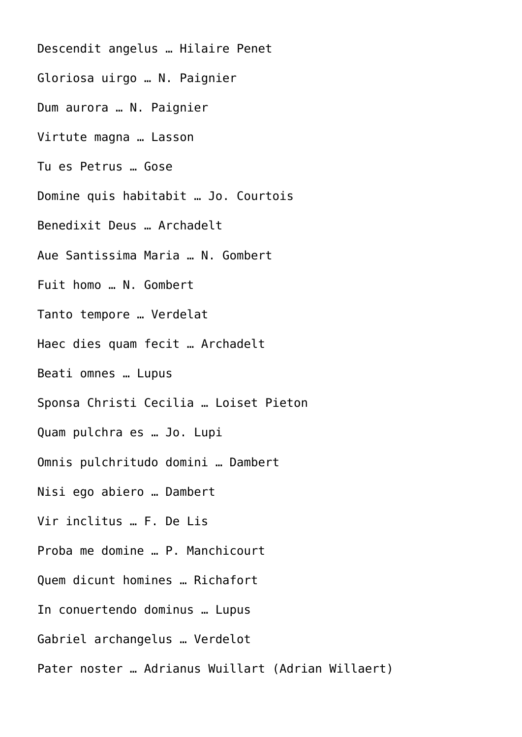Descendit angelus … Hilaire Penet Gloriosa uirgo … N. Paignier Dum aurora … N. Paignier Virtute magna … Lasson Tu es Petrus … Gose Domine quis habitabit … Jo. Courtois Benedixit Deus … Archadelt Aue Santissima Maria … N. Gombert Fuit homo … N. Gombert Tanto tempore … Verdelat Haec dies quam fecit … Archadelt Beati omnes … Lupus Sponsa Christi Cecilia … Loiset Pieton Quam pulchra es … Jo. Lupi Omnis pulchritudo domini … Dambert Nisi ego abiero … Dambert Vir inclitus … F. De Lis Proba me domine … P. Manchicourt Quem dicunt homines … Richafort In conuertendo dominus … Lupus Gabriel archangelus … Verdelot Pater noster … Adrianus Wuillart (Adrian Willaert)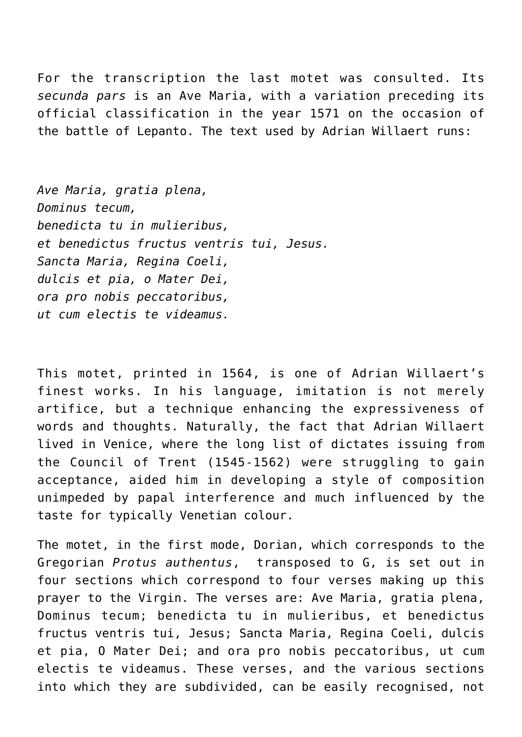For the transcription the last motet was consulted. Its *secunda pars* is an Ave Maria, with a variation preceding its official classification in the year 1571 on the occasion of the battle of Lepanto. The text used by Adrian Willaert runs:

*Ave Maria, gratia plena, Dominus tecum, benedicta tu in mulieribus, et benedictus fructus ventris tui, Jesus. Sancta Maria, Regina Coeli, dulcis et pia, o Mater Dei, ora pro nobis peccatoribus, ut cum electis te videamus.*

This motet, printed in 1564, is one of Adrian Willaert's finest works. In his language, imitation is not merely artifice, but a technique enhancing the expressiveness of words and thoughts. Naturally, the fact that Adrian Willaert lived in Venice, where the long list of dictates issuing from the Council of Trent (1545-1562) were struggling to gain acceptance, aided him in developing a style of composition unimpeded by papal interference and much influenced by the taste for typically Venetian colour.

The motet, in the first mode, Dorian, which corresponds to the Gregorian *Protus authentus*, transposed to G, is set out in four sections which correspond to four verses making up this prayer to the Virgin. The verses are: Ave Maria, gratia plena, Dominus tecum; benedicta tu in mulieribus, et benedictus fructus ventris tui, Jesus; Sancta Maria, Regina Coeli, dulcis et pia, O Mater Dei; and ora pro nobis peccatoribus, ut cum electis te videamus. These verses, and the various sections into which they are subdivided, can be easily recognised, not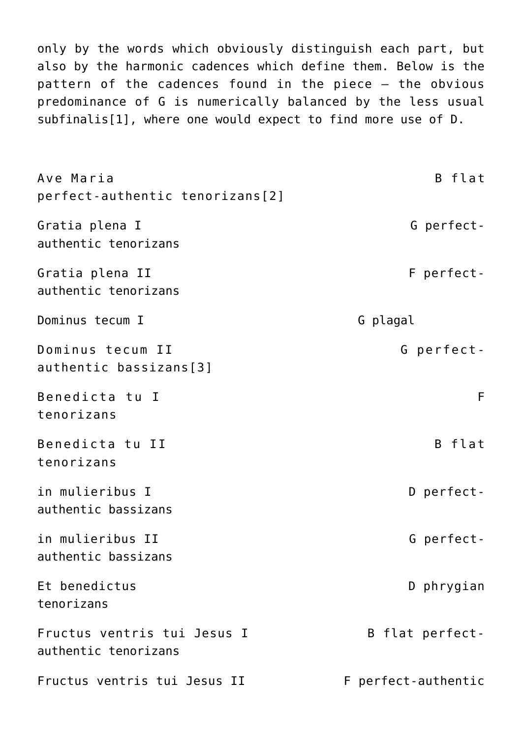only by the words which obviously distinguish each part, but also by the harmonic cadences which define them. Below is the pattern of the cadences found in the piece – the obvious predominance of G is numerically balanced by the less usual subfinalis[\[1\]](#page-7-0), where one would expect to find more use of D.

<span id="page-4-2"></span><span id="page-4-1"></span><span id="page-4-0"></span>Ave Maria B flat perfect-authentic tenorizans[\[2\]](#page-7-1) Gratia plena I Gratia posterior control de la Gerfectauthentic tenorizans Gratia plena II F perfectauthentic tenorizans Dominus tecum I G plagal Dominus tecum II G perfectauthentic bassizans[\[3\]](#page-7-2) Benedicta tu I F tenorizans Benedicta tu II B flat tenorizans in mulieribus I and D perfectauthentic bassizans in mulieribus II and G perfectauthentic bassizans Et benedictus D phrygian tenorizans Fructus ventris tui Jesus I B flat perfectauthentic tenorizans Fructus ventris tui Jesus II F perfect-authentic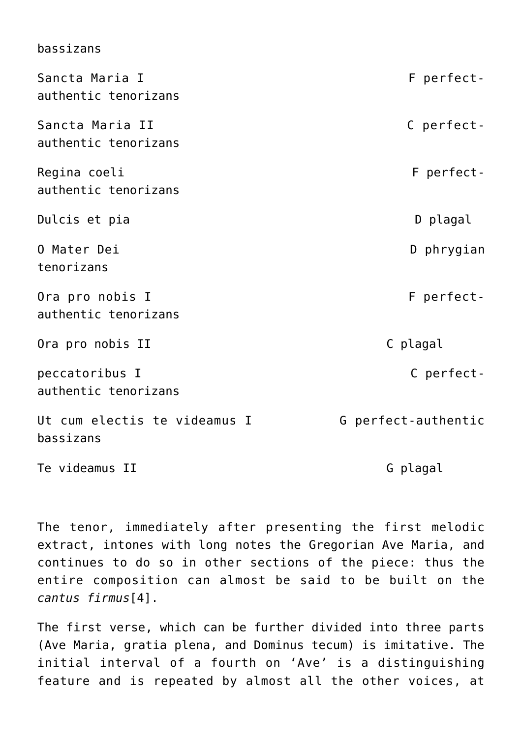| Dd S J Z dli S                            |                     |
|-------------------------------------------|---------------------|
| Sancta Maria I<br>authentic tenorizans    | F perfect-          |
| Sancta Maria II<br>authentic tenorizans   | C perfect-          |
| Regina coeli<br>authentic tenorizans      | F perfect-          |
| Dulcis et pia                             | D plagal            |
| 0 Mater Dei<br>tenorizans                 | D phrygian          |
| Ora pro nobis I<br>authentic tenorizans   | F perfect-          |
| Ora pro nobis II                          | C plagal            |
| peccatoribus I<br>authentic tenorizans    | C perfect-          |
| Ut cum electis te videamus I<br>bassizans | G perfect-authentic |
| Te videamus II                            | G plagal            |

bassizans

The tenor, immediately after presenting the first melodic extract, intones with long notes the Gregorian Ave Maria, and continues to do so in other sections of the piece: thus the entire composition can almost be said to be built on the *cantus firmus*[\[4\].](#page-7-3)

<span id="page-5-0"></span>The first verse, which can be further divided into three parts ([Ave Maria,](https://en.wikipedia.org/wiki/Hail_Mary) gratia plena, and Dominus tecum) is imitative. The initial interval of a fourth on 'Ave' is a distinguishing feature and is repeated by almost all the other voices, at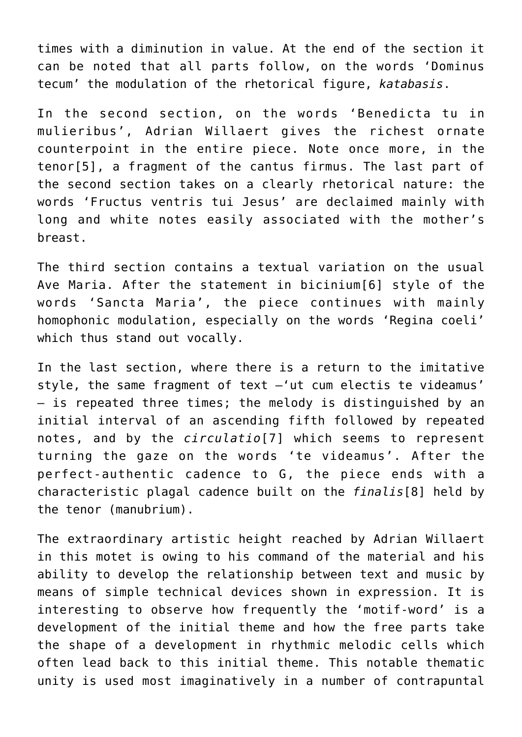times with a diminution in value. At the end of the section it can be noted that all parts follow, on the words 'Dominus tecum' the modulation of the rhetorical figure, *katabasis*.

<span id="page-6-0"></span>In the second section, on the words 'Benedicta tu in mulieribus', Adrian Willaert gives the richest ornate counterpoint in the entire piece. Note once more, in the tenor[\[5\],](#page-7-4) a fragment of the cantus firmus. The last part of the second section takes on a clearly rhetorical nature: the words 'Fructus ventris tui Jesus' are declaimed mainly with long and white notes easily associated with the mother's breast.

<span id="page-6-1"></span>The third section contains a textual variation on the usual Ave Maria. After the statement in bicinium[\[6\]](#page-8-0) style of the words 'Sancta Maria', the piece continues with mainly homophonic modulation, especially on the words 'Regina coeli' which thus stand out vocally.

<span id="page-6-2"></span>In the last section, where there is a return to the imitative style, the same fragment of text –'ut cum electis te videamus' – is repeated three times; the melody is distinguished by an initial interval of an ascending fifth followed by repeated notes, and by the *circulatio*[\[7\]](#page-8-1) which seems to represent turning the gaze on the words 'te videamus'. After the perfect-authentic cadence to G, the piece ends with a characteristic plagal cadence built on the *finalis*[\[8\]](#page-8-2) held by the tenor (manubrium).

<span id="page-6-3"></span>The extraordinary artistic height reached by Adrian Willaert in this motet is owing to his command of the material and his ability to develop the relationship between text and music by means of simple technical devices shown in expression. It is interesting to observe how frequently the 'motif-word' is a development of the initial theme and how the free parts take the shape of a development in rhythmic melodic cells which often lead back to this initial theme. This notable thematic unity is used most imaginatively in a number of contrapuntal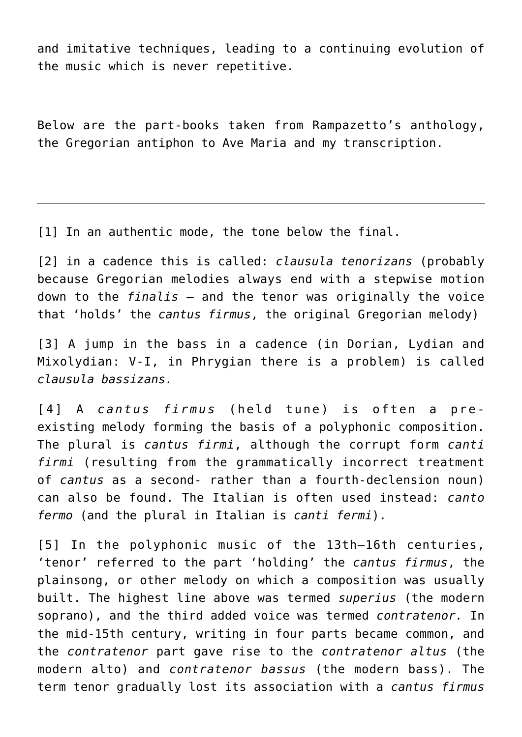and imitative techniques, leading to a continuing evolution of the music which is never repetitive.

Below are the part-books taken from Rampazetto's anthology, the Gregorian antiphon to Ave Maria and my transcription.

<span id="page-7-0"></span>[\[1\]](#page-4-0) In an authentic mode, the tone below the final.

<span id="page-7-1"></span>[\[2\]](#page-4-1) in a cadence this is called: *clausula tenorizans* (probably because Gregorian melodies always end with a stepwise motion down to the *finalis* – and the tenor was originally the voice that 'holds' the *cantus firmus*, the original Gregorian melody)

<span id="page-7-2"></span>[\[3\]](#page-4-2) A jump in the bass in a cadence (in Dorian, Lydian and Mixolydian: V-I, in Phrygian there is a problem) is called *clausula bassizans.*

<span id="page-7-3"></span>[\[4\]](#page-5-0) A *cantus firmus* (held tune) is often a preexisting melody forming the basis of a polyphonic composition. The plural is *cantus firmi*, although the corrupt form *canti firmi* (resulting from the grammatically incorrect treatment of *cantus* as a second- rather than a fourth-declension noun) can also be found. The Italian is often used instead: *canto fermo* (and the plural in Italian is *canti fermi*).

<span id="page-7-4"></span>[\[5\]](#page-6-0) In the polyphonic music of the 13th–16th centuries, 'tenor' referred to the part 'holding' the *cantus firmus*, the plainsong, or other melody on which a composition was usually built. The highest line above was termed *superius* (the modern soprano), and the third added voice was termed *contratenor.* In the mid-15th century, writing in four parts became common, and the *contratenor* part gave rise to the *contratenor altus* (the modern alto) and *contratenor bassus* (the modern bass). The term tenor gradually lost its association with a *cantus firmus*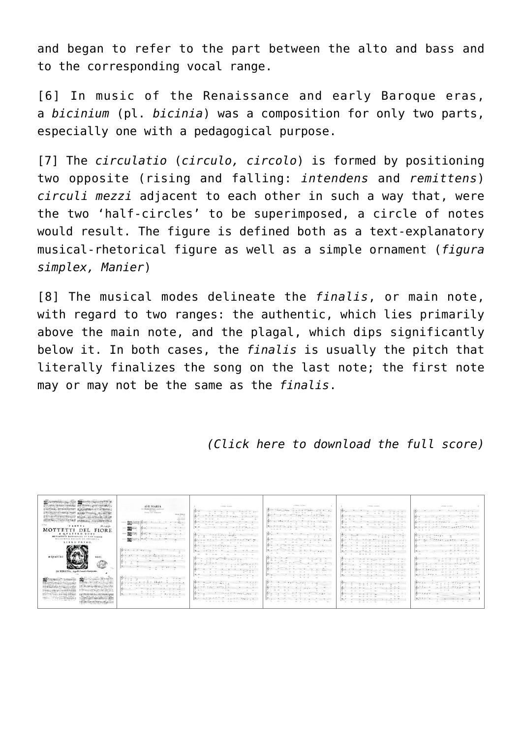and began to refer to the part between the alto and bass and to the corresponding vocal range.

<span id="page-8-0"></span>[\[6\]](#page-6-1) In music of the Renaissance and early Baroque eras, a *bicinium* (pl. *bicinia*) was a composition for only two parts, especially one with a pedagogical purpose.

<span id="page-8-1"></span>[\[7\]](#page-6-2) The *circulatio* (*circulo, circolo*) is formed by positioning two opposite (rising and falling: *intendens* and *remittens*) *circuli mezzi* adjacent to each other in such a way that, were the two 'half-circles' to be superimposed, a circle of notes would result. The figure is defined both as a text-explanatory musical-rhetorical figure as well as a simple ornament (*figura simplex, Manier*)

<span id="page-8-2"></span>[\[8\]](#page-6-3) The musical modes delineate the *finalis*, or main note, with regard to two ranges: the authentic, which lies primarily above the main note, and the plagal, which dips significantly below it. In both cases, the *finalis* is usually the pitch that literally finalizes the song on the last note; the first note may or may not be the same as the *finalis*.

*([Click here](http://icb.ifcm.net/wp-content/uploads/2019/01/Ave_Maria_Willaert_review_ICB_2013-3_online.pdf) to download the full score)*